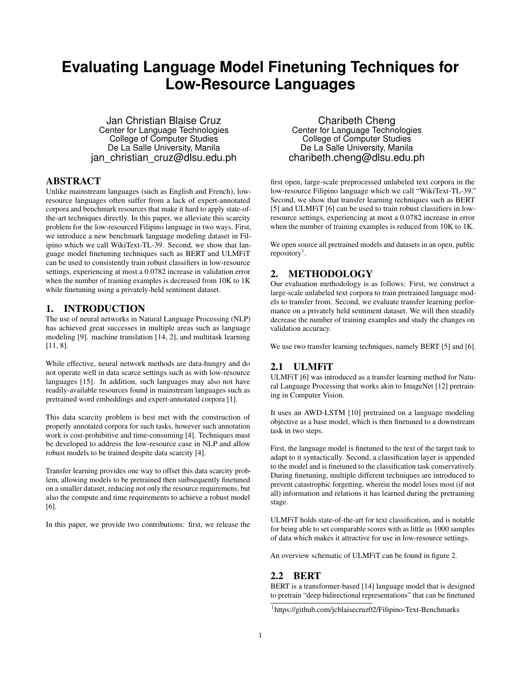# **Evaluating Language Model Finetuning Techniques for Low-Resource Languages**

Jan Christian Blaise Cruz Center for Language Technologies College of Computer Studies De La Salle University, Manila jan christian cruz@dlsu.edu.ph

## ABSTRACT

Unlike mainstream languages (such as English and French), lowresource languages often suffer from a lack of expert-annotated corpora and benchmark resources that make it hard to apply state-ofthe-art techniques directly. In this paper, we alleviate this scarcity problem for the low-resourced Filipino language in two ways. First, we introduce a new benchmark language modeling dataset in Filipino which we call WikiText-TL-39. Second, we show that language model finetuning techniques such as BERT and ULMFiT can be used to consistently train robust classifiers in low-resource settings, experiencing at most a 0.0782 increase in validation error when the number of training examples is decreased from 10K to 1K while finetuning using a privately-held sentiment dataset.

## 1. INTRODUCTION

The use of neural networks in Natural Language Processing (NLP) has achieved great successes in multiple areas such as language modeling [9]. machine translation [14, 2], and multitask learning [11, 8].

While effective, neural network methods are data-hungry and do not operate well in data scarce settings such as with low-resource languages [15]. In addition, such languages may also not have readily-available resources found in mainstream languages such as pretrained word embeddings and expert-annotated corpora [1].

This data scarcity problem is best met with the construction of properly annotated corpora for such tasks, however such annotation work is cost-prohibitive and time-consuming [4]. Techniques must be developed to address the low-resource case in NLP and allow robust models to be trained despite data scarcity [4].

Transfer learning provides one way to offset this data scarcity problem, allowing models to be pretrained then suibsequently finetuned on a smaller dataset, reducing not only the resource requiremens, but also the compute and time requirements to achieve a robust model [6].

In this paper, we provide two contributions: first, we release the

Charibeth Cheng Center for Language Technologies College of Computer Studies De La Salle University, Manila charibeth.cheng@dlsu.edu.ph

first open, large-scale preprocessed unlabeled text corpora in the low-resource Filipino language which we call "WikiText-TL-39." Second, we show that transfer learning techniques such as BERT [5] and ULMFiT [6] can be used to train robust classifiers in lowresource settings, experiencing at most a 0.0782 increase in error when the number of training examples is reduced from 10K to 1K.

We open source all pretrained models and datasets in an open, public repository<sup>1</sup>.

# 2. METHODOLOGY

Our evaluation methodology is as follows: First, we construct a large-scale unlabeled text corpora to train pretrained language models to transfer from. Second, we evaluate transfer learning performance on a privately held sentiment dataset. We will then steadily decrease the number of training examples and study the changes on validation accuracy.

We use two transfer learning techniques, namely BERT [5] and [6].

# 2.1 ULMFiT

ULMFiT [6] was introduced as a transfer learning method for Natural Language Processing that works akin to ImageNet [12] pretraining in Computer Vision.

It uses an AWD-LSTM [10] pretrained on a language modeling objective as a base model, which is then finetuned to a downstream task in two steps.

First, the language model is finetuned to the text of the target task to adapt to it syntactically. Second, a classification layer is appended to the model and is finetuned to the classification task conservatively. During finetuning, multiple different techniques are introduced to prevent catastrophic forgetting, wherein the model loses most (if not all) information and relations it has learned during the pretraining stage.

ULMFiT holds state-of-the-art for text classification, and is notable for being able to set comparable scores with as little as 1000 samples of data which makes it attractive for use in low-resource settings.

An overview schematic of ULMFiT can be found in figure 2.

#### 2.2 BERT

BERT is a transformer-based [14] language model that is designed to pretrain "deep bidirectional representations" that can be finetuned

<sup>&</sup>lt;sup>1</sup>https://github.com/jcblaisecruz02/Filipino-Text-Benchmarks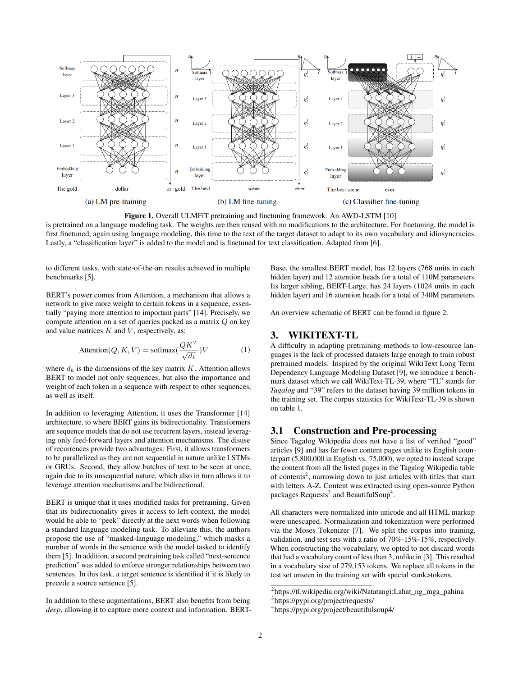

Figure 1. Overall ULMFiT pretraining and finetuning framework. An AWD-LSTM [10] is pretrained on a language modeling task. The weights are then reused with no modifications to the architecture. For finetuning, the model is first finetuned, again using language modeling, this time to the text of the target dataset to adapt to its own vocabulary and idiosyncracies. Lastly, a "classification layer" is added to the model and is finetuned for text classification. Adapted from [6].

to different tasks, with state-of-the-art results achieved in multiple benchmarks [5].

BERT's power comes from Attention, a mechanism that allows a network to give more weight to certain tokens in a sequence, essentially "paying more attention to important parts" [14]. Precisely, we compute attention on a set of queries packed as a matrix Q on key and value matrices  $K$  and  $V$ , respectively, as:

$$
Attention(Q, K, V) = softmax(\frac{QK^T}{\sqrt{d_k}})V
$$
 (1)

where  $d_k$  is the dimensions of the key matrix  $K$ . Attention allows BERT to model not only sequences, but also the importance and weight of each token in a sequence with respect to other sequences, as well as itself.

In addition to leveraging Attention, it uses the Transformer [14] architecture, to where BERT gains its bidirectionality. Transformers are sequence models that do not use recurrent layers, instead leveraging only feed-forward layers and attention mechanisms. The disuse of recurrences provide two advantages: First, it allows transformers to be parallelized as they are not sequential in nature unlike LSTMs or GRUs. Second, they allow batches of text to be seen at once, again due to its unsequential nature, which also in turn allows it to leverage attention mechanisms and be bidirectional.

BERT is unique that it uses modified tasks for pretraining. Given that its bidirectionality gives it access to left-context, the model would be able to "peek" directly at the next words when following a standard language modeling task. To alleviate this, the authors propose the use of "masked-language modeling," which masks a number of words in the sentence with the model tasked to identify them [5]. In addition, a second pretraining task called "next-sentence prediction" was added to enforce stronger relationships between two sentences. In this task, a target sentence is identified if it is likely to precede a source sentence [5].

In addition to these augmentations, BERT also benefits from being *deep*, allowing it to capture more context and information. BERT- Base, the smallest BERT model, has 12 layers (768 units in each hidden layer) and 12 attention heads for a total of 110M parameters. Its larger sibling, BERT-Large, has 24 layers (1024 units in each hidden layer) and 16 attention heads for a total of 340M parameters.

An overview schematic of BERT can be found in figure 2.

## 3. WIKITEXT-TL

A difficulty in adapting pretraining methods to low-resource languages is the lack of processed datasets large enough to train robust pretrained models. Inspired by the original WikiText Long Term Dependency Language Modeling Dataset [9], we introduce a benchmark dataset which we call WikiText-TL-39, where "TL" stands for *Tagalog* and "39" refers to the dataset having 39 million tokens in the training set. The corpus statistics for WikiText-TL-39 is shown on table 1.

## 3.1 Construction and Pre-processing

Since Tagalog Wikipedia does not have a list of verified "good" articles [9] and has far fewer content pages unlike its English counterpart (5,800,000 in English vs. 75,000), we opted to instead scrape the content from all the listed pages in the Tagalog Wikipedia table of contents<sup>2</sup>, narrowing down to just articles with titles that start with letters A-Z. Content was extracted using open-source Python packages Requests<sup>3</sup> and BeautifulSoup<sup>4</sup>.

All characters were normalized into unicode and all HTML markup were unescaped. Normalization and tokenization were performed via the Moses Tokenizer [7]. We split the corpus into training, validation, and test sets with a ratio of 70%-15%-15%, respectively. When constructing the vocabulary, we opted to not discard words that had a vocabulary count of less than 3, unlike in [3]. This resulted in a vocabulary size of 279,153 tokens. We replace all tokens in the test set unseen in the training set with special <unk>tokens.

<sup>&</sup>lt;sup>2</sup>https://tl.wikipedia.org/wiki/Natatangi:Lahat\_ng\_mga\_pahina 3 https://pypi.org/project/requests/

<sup>4</sup> https://pypi.org/project/beautifulsoup4/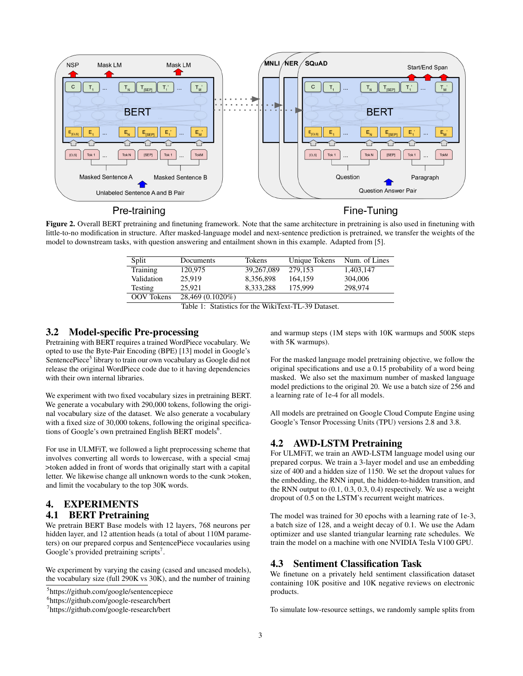

Pre-training

Fine-Tuning

Figure 2. Overall BERT pretraining and finetuning framework. Note that the same architecture in pretraining is also used in finetuning with little-to-no modification in structure. After masked-language model and next-sentence prediction is pretrained, we transfer the weights of the model to downstream tasks, with question answering and entailment shown in this example. Adapted from [5].

| Split             | Documents        | Tokens     | Unique Tokens | Num. of Lines |
|-------------------|------------------|------------|---------------|---------------|
| Training          | 120,975          | 39,267,089 | 279.153       | 1.403.147     |
| Validation        | 25.919           | 8.356.898  | 164.159       | 304,006       |
| Testing           | 25.921           | 8.333.288  | 175,999       | 298,974       |
| <b>OOV</b> Tokens | 28,469 (0.1020%) |            |               |               |

| Table 1: Statistics for the WikiText-TL-39 Dataset. |
|-----------------------------------------------------|
|-----------------------------------------------------|

#### 3.2 Model-specific Pre-processing

Pretraining with BERT requires a trained WordPiece vocabulary. We opted to use the Byte-Pair Encoding (BPE) [13] model in Google's SentencePiece<sup>5</sup> library to train our own vocabulary as Google did not release the original WordPiece code due to it having dependencies with their own internal libraries.

We experiment with two fixed vocabulary sizes in pretraining BERT. We generate a vocabulary with 290,000 tokens, following the original vocabulary size of the dataset. We also generate a vocabulary with a fixed size of 30,000 tokens, following the original specifications of Google's own pretrained English BERT models<sup>6</sup>.

For use in ULMFiT, we followed a light preprocessing scheme that involves converting all words to lowercase, with a special <maj >token added in front of words that originally start with a capital letter. We likewise change all unknown words to the <unk >token, and limit the vocabulary to the top 30K words.

#### 4. EXPERIMENTS 4.1 BERT Pretraining

We pretrain BERT Base models with 12 layers, 768 neurons per hidden layer, and 12 attention heads (a total of about 110M parameters) on our prepared corpus and SentencePiece vocaularies using Google's provided pretraining scripts<sup>7</sup>.

We experiment by varying the casing (cased and uncased models), the vocabulary size (full 290K vs 30K), and the number of training

5 https://github.com/google/sentencepiece

and warmup steps (1M steps with 10K warmups and 500K steps with 5K warmups).

For the masked language model pretraining objective, we follow the original specifications and use a 0.15 probability of a word being masked. We also set the maximum number of masked language model predictions to the original 20. We use a batch size of 256 and a learning rate of 1e-4 for all models.

All models are pretrained on Google Cloud Compute Engine using Google's Tensor Processing Units (TPU) versions 2.8 and 3.8.

#### 4.2 AWD-LSTM Pretraining

For ULMFiT, we train an AWD-LSTM language model using our prepared corpus. We train a 3-layer model and use an embedding size of 400 and a hidden size of 1150. We set the dropout values for the embedding, the RNN input, the hidden-to-hidden transition, and the RNN output to  $(0.1, 0.3, 0.3, 0.4)$  respectively. We use a weight dropout of 0.5 on the LSTM's recurrent weight matrices.

The model was trained for 30 epochs with a learning rate of 1e-3, a batch size of 128, and a weight decay of 0.1. We use the Adam optimizer and use slanted triangular learning rate schedules. We train the model on a machine with one NVIDIA Tesla V100 GPU.

# 4.3 Sentiment Classification Task

We finetune on a privately held sentiment classification dataset containing 10K positive and 10K negative reviews on electronic products.

To simulate low-resource settings, we randomly sample splits from

<sup>6</sup> https://github.com/google-research/bert

<sup>7</sup> https://github.com/google-research/bert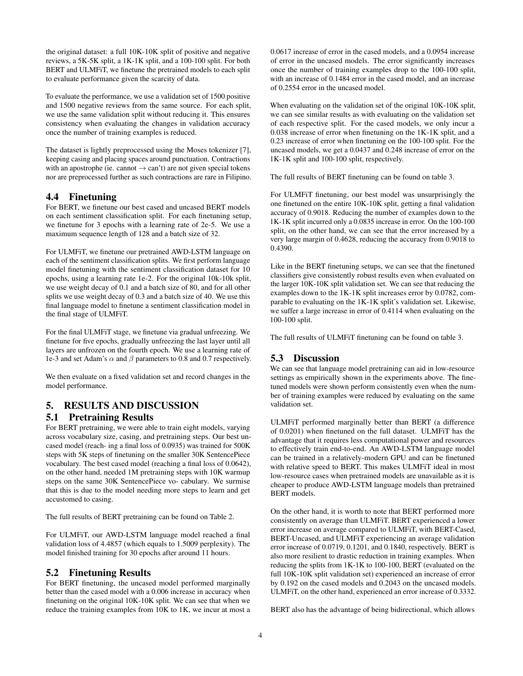the original dataset: a full 10K-10K split of positive and negative reviews, a 5K-5K split, a 1K-1K split, and a 100-100 split. For both BERT and ULMFiT, we finetune the pretrained models to each split to evaluate performance given the scarcity of data.

To evaluate the performance, we use a validation set of 1500 positive and 1500 negative reviews from the same source. For each split, we use the same validation split without reducing it. This ensures consistency when evaluating the changes in validation accuracy once the number of training examples is reduced.

The dataset is lightly preprocessed using the Moses tokenizer [7], keeping casing and placing spaces around punctuation. Contractions with an apostrophe (ie. cannot  $\rightarrow$  can't) are not given special tokens nor are preprocessed further as such contractions are rare in Filipino.

# 4.4 Finetuning

For BERT, we finetune our best cased and uncased BERT models on each sentiment classification split. For each finetuning setup, we finetune for 3 epochs with a learning rate of 2e-5. We use a maximum sequence length of 128 and a batch size of 32.

For ULMFiT, we finetune our pretrained AWD-LSTM language on each of the sentiment classification splits. We first perform language model finetuning with the sentiment classification dataset for 10 epochs, using a learning rate 1e-2. For the original 10k-10k split, we use weight decay of 0.1 and a batch size of 80, and for all other splits we use weight decay of 0.3 and a batch size of 40. We use this final language model to finetune a sentiment classification model in the final stage of ULMFiT.

For the final ULMFiT stage, we finetune via gradual unfreezing. We finetune for five epochs, gradually unfreezing the last layer until all layers are unfrozen on the fourth epoch. We use a learning rate of 1e-3 and set Adam's  $\alpha$  and  $\beta$  parameters to 0.8 and 0.7 respectively.

We then evaluate on a fixed validation set and record changes in the model performance.

# 5. RESULTS AND DISCUSSION

#### 5.1 Pretraining Results

For BERT pretraining, we were able to train eight models, varying across vocabulary size, casing, and pretraining steps. Our best uncased model (reach- ing a final loss of 0.0935) was trained for 500K steps with 5K steps of finetuning on the smaller 30K SentencePiece vocabulary. The best cased model (reaching a final loss of 0.0642), on the other hand, needed 1M pretraining steps with 10K warmup steps on the same 30K SentencePiece vo- cabulary. We surmise that this is due to the model needing more steps to learn and get accustomed to casing.

The full results of BERT pretraining can be found on Table 2.

For ULMFiT, our AWD-LSTM language model reached a final validation loss of 4.4857 (which equals to 1.5009 perplexity). The model finished training for 30 epochs after around 11 hours.

# 5.2 Finetuning Results

For BERT finetuning, the uncased model performed marginally better than the cased model with a 0.006 increase in accuracy when finetuning on the original 10K-10K split. We can see that when we reduce the training examples from 10K to 1K, we incur at most a 0.0617 increase of error in the cased models, and a 0.0954 increase of error in the uncased models. The error significantly increases once the number of training examples drop to the 100-100 split, with an increase of 0.1484 error in the cased model, and an increase of 0.2554 error in the uncased model.

When evaluating on the validation set of the original 10K-10K split, we can see similar results as with evaluating on the validation set of each respective split. For the cased models, we only incur a 0.038 increase of error when finetuning on the 1K-1K split, and a 0.23 increase of error when finetuning on the 100-100 split. For the uncased models, we get a 0.0437 and 0.248 increase of error on the 1K-1K split and 100-100 split, respectively.

The full results of BERT finetuning can be found on table 3.

For ULMFiT finetuning, our best model was unsurprisingly the one finetuned on the entire 10K-10K split, getting a final validation accuracy of 0.9018. Reducing the number of examples down to the 1K-1K split incurred only a 0.0835 increase in error. On the 100-100 split, on the other hand, we can see that the error increased by a very large margin of 0.4628, reducing the accuracy from 0.9018 to 0.4390.

Like in the BERT finetuning setups, we can see that the finetuned classifiers give consistently robust results even when evaluated on the larger 10K-10K split validation set. We can see that reducing the examples down to the 1K-1K split increases error by 0.0782, comparable to evaluating on the 1K-1K split's validation set. Likewise, we suffer a large increase in error of 0.4114 when evaluating on the 100-100 split.

The full results of ULMFiT finetuning can be found on table 3.

# 5.3 Discussion

We can see that language model pretraining can aid in low-resource settings as empirically shown in the experiments above. The finetuned models were shown perform consistently even when the number of training examples were reduced by evaluating on the same validation set.

ULMFiT performed marginally better than BERT (a difference of 0.0201) when finetuned on the full dataset. ULMFiT has the advantage that it requires less computational power and resources to effectively train end-to-end. An AWD-LSTM language model can be trained in a relatively-modern GPU and can be finetuned with relative speed to BERT. This makes ULMFiT ideal in most low-resource cases when pretrained models are unavailable as it is cheaper to produce AWD-LSTM language models than pretrained BERT models.

On the other hand, it is worth to note that BERT performed more consistently on average than ULMFiT. BERT experienced a lower error increase on average compared to ULMFiT, with BERT-Cased, BERT-Uncased, and ULMFiT experiencing an average validation error increase of 0.0719, 0.1201, and 0.1840, respectively. BERT is also more resilient to drastic reduction in training examples. When reducing the splits from 1K-1K to 100-100, BERT (evaluated on the full 10K-10K split validation set) experienced an increase of error by 0.192 on the cased models and 0.2043 on the uncased models. ULMFiT, on the other hand, experienced an error increase of 0.3332.

BERT also has the advantage of being bidirectional, which allows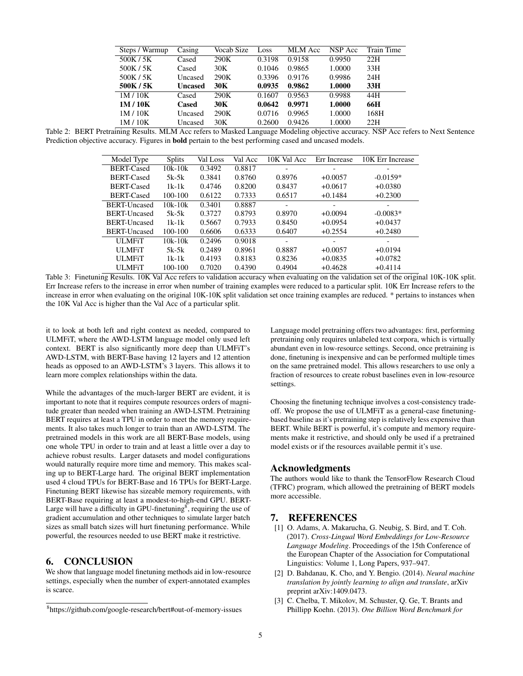| Steps / Warmup | Casing         | Vocab Size | Loss   | MLM Acc | NSP Acc | <b>Train Time</b> |
|----------------|----------------|------------|--------|---------|---------|-------------------|
| 500K / 5K      | Cased          | 290K       | 0.3198 | 0.9158  | 0.9950  | 22H               |
| 500K/5K        | Cased          | 30K        | 0.1046 | 0.9865  | 1.0000  | 33H               |
| 500K / 5K      | Uncased        | 290K       | 0.3396 | 0.9176  | 0.9986  | 24H               |
| 500K/5K        | <b>Uncased</b> | 30K        | 0.0935 | 0.9862  | 1.0000  | 33H               |
| 1M/10K         | Cased          | 290K       | 0.1607 | 0.9563  | 0.9988  | 44H               |
| 1M/10K         | Cased          | 30K        | 0.0642 | 0.9971  | 1.0000  | 66H               |
| 1M/10K         | Uncased        | 290K       | 0.0716 | 0.9965  | 1.0000  | 168H              |
| 1M/10K         | Uncased        | 30K        | 0.2600 | 0.9426  | 1.0000  | 22H               |

Table 2: BERT Pretraining Results. MLM Acc refers to Masked Language Modeling objective accuracy. NSP Acc refers to Next Sentence Prediction objective accuracy. Figures in bold pertain to the best performing cased and uncased models.

| Model Type        | <b>Splits</b> | Val Loss | Val Acc | 10K Val Acc | Err Increase | 10K Err Increase |
|-------------------|---------------|----------|---------|-------------|--------------|------------------|
| <b>BERT-Cased</b> | $10k - 10k$   | 0.3492   | 0.8817  |             |              |                  |
| <b>BERT-Cased</b> | $5k-5k$       | 0.3841   | 0.8760  | 0.8976      | $+0.0057$    | $-0.0159*$       |
| <b>BERT-Cased</b> | $1k-1k$       | 0.4746   | 0.8200  | 0.8437      | $+0.0617$    | $+0.0380$        |
| <b>BERT-Cased</b> | 100-100       | 0.6122   | 0.7333  | 0.6517      | $+0.1484$    | $+0.2300$        |
| BERT-Uncased      | $10k - 10k$   | 0.3401   | 0.8887  |             |              |                  |
| BERT-Uncased      | $5k-5k$       | 0.3727   | 0.8793  | 0.8970      | $+0.0094$    | $-0.0083*$       |
| BERT-Uncased      | $1k-1k$       | 0.5667   | 0.7933  | 0.8450      | $+0.0954$    | $+0.0437$        |
| BERT-Uncased      | 100-100       | 0.6606   | 0.6333  | 0.6407      | $+0.2554$    | $+0.2480$        |
| <b>ULMFiT</b>     | $10k - 10k$   | 0.2496   | 0.9018  |             |              |                  |
| <b>ULMFiT</b>     | $5k-5k$       | 0.2489   | 0.8961  | 0.8887      | $+0.0057$    | $+0.0194$        |
| <b>ULMFiT</b>     | $1k-1k$       | 0.4193   | 0.8183  | 0.8236      | $+0.0835$    | $+0.0782$        |
| <b>ULMET</b>      | 100-100       | 0.7020   | 0.4390  | 0.4904      | $+0.4628$    | $+0.4114$        |

Table 3: Finetuning Results. 10K Val Acc refers to validation accuracy when evaluating on the validation set of the original 10K-10K split. Err Increase refers to the increase in error when number of training examples were reduced to a particular split. 10K Err Increase refers to the increase in error when evaluating on the original 10K-10K split validation set once training examples are reduced. \* pertains to instances when the 10K Val Acc is higher than the Val Acc of a particular split.

it to look at both left and right context as needed, compared to ULMFiT, where the AWD-LSTM language model only used left context. BERT is also significantly more deep than ULMFiT's AWD-LSTM, with BERT-Base having 12 layers and 12 attention heads as opposed to an AWD-LSTM's 3 layers. This allows it to learn more complex relationships within the data.

While the advantages of the much-larger BERT are evident, it is important to note that it requires compute resources orders of magnitude greater than needed when training an AWD-LSTM. Pretraining BERT requires at least a TPU in order to meet the memory requirements. It also takes much longer to train than an AWD-LSTM. The pretrained models in this work are all BERT-Base models, using one whole TPU in order to train and at least a little over a day to achieve robust results. Larger datasets and model configurations would naturally require more time and memory. This makes scaling up to BERT-Large hard. The original BERT implementation used 4 cloud TPUs for BERT-Base and 16 TPUs for BERT-Large. Finetuning BERT likewise has sizeable memory requirements, with BERT-Base requiring at least a modest-to-high-end GPU. BERT-Large will have a difficulty in GPU-finetuning<sup>8</sup>, requiring the use of gradient accumulation and other techniques to simulate larger batch sizes as small batch sizes will hurt finetuning performance. While powerful, the resources needed to use BERT make it restrictive.

#### 6. CONCLUSION

We show that language model finetuning methods aid in low-resource settings, especially when the number of expert-annotated examples is scarce.

Language model pretraining offers two advantages: first, performing pretraining only requires unlabeled text corpora, which is virtually abundant even in low-resource settings. Second, once pretraining is done, finetuning is inexpensive and can be performed multiple times on the same pretrained model. This allows researchers to use only a fraction of resources to create robust baselines even in low-resource settings.

Choosing the finetuning technique involves a cost-consistency tradeoff. We propose the use of ULMFiT as a general-case finetuningbased baseline as it's pretraining step is relatively less expensive than BERT. While BERT is powerful, it's compute and memory requirements make it restrictive, and should only be used if a pretrained model exists or if the resources available permit it's use.

#### Acknowledgments

The authors would like to thank the TensorFlow Research Cloud (TFRC) program, which allowed the pretraining of BERT models more accessible.

#### 7. REFERENCES

- [1] O. Adams, A. Makarucha, G. Neubig, S. Bird, and T. Coh. (2017). *Cross-Lingual Word Embeddings for Low-Resource Language Modeling*. Proceedings of the 15th Conference of the European Chapter of the Association for Computational Linguistics: Volume 1, Long Papers, 937–947.
- [2] D. Bahdanau, K. Cho, and Y. Bengio. (2014). *Neural machine translation by jointly learning to align and translate*, arXiv preprint arXiv:1409.0473.
- [3] C. Chelba, T. Mikolov, M. Schuster, Q. Ge, T. Brants and Phillipp Koehn. (2013). *One Billion Word Benchmark for*

<sup>8</sup> https://github.com/google-research/bert#out-of-memory-issues